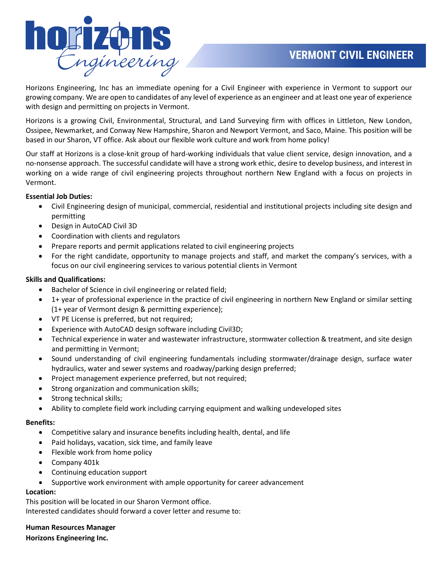

Horizons Engineering, Inc has an immediate opening for a Civil Engineer with experience in Vermont to support our growing company. We are open to candidates of any level of experience as an engineer and at least one year of experience with design and permitting on projects in Vermont.

Horizons is a growing Civil, Environmental, Structural, and Land Surveying firm with offices in Littleton, New London, Ossipee, Newmarket, and Conway New Hampshire, Sharon and Newport Vermont, and Saco, Maine. This position will be based in our Sharon, VT office. Ask about our flexible work culture and work from home policy!

Our staff at Horizons is a close-knit group of hard-working individuals that value client service, design innovation, and a no-nonsense approach. The successful candidate will have a strong work ethic, desire to develop business, and interest in working on a wide range of civil engineering projects throughout northern New England with a focus on projects in Vermont.

## **Essential Job Duties:**

- Civil Engineering design of municipal, commercial, residential and institutional projects including site design and permitting
- Design in AutoCAD Civil 3D
- Coordination with clients and regulators
- Prepare reports and permit applications related to civil engineering projects
- For the right candidate, opportunity to manage projects and staff, and market the company's services, with a focus on our civil engineering services to various potential clients in Vermont

### **Skills and Qualifications:**

- Bachelor of Science in civil engineering or related field;
- 1+ year of professional experience in the practice of civil engineering in northern New England or similar setting (1+ year of Vermont design & permitting experience);
- VT PE License is preferred, but not required;
- Experience with AutoCAD design software including Civil3D;
- Technical experience in water and wastewater infrastructure, stormwater collection & treatment, and site design and permitting in Vermont;
- Sound understanding of civil engineering fundamentals including stormwater/drainage design, surface water hydraulics, water and sewer systems and roadway/parking design preferred;
- Project management experience preferred, but not required;
- Strong organization and communication skills;
- Strong technical skills;
- Ability to complete field work including carrying equipment and walking undeveloped sites

#### **Benefits:**

- Competitive salary and insurance benefits including health, dental, and life
- Paid holidays, vacation, sick time, and family leave
- Flexible work from home policy
- Company 401k
- Continuing education support
- Supportive work environment with ample opportunity for career advancement

#### **Location:**

This position will be located in our Sharon Vermont office. Interested candidates should forward a cover letter and resume to:

# **Human Resources Manager**

**Horizons Engineering Inc.**